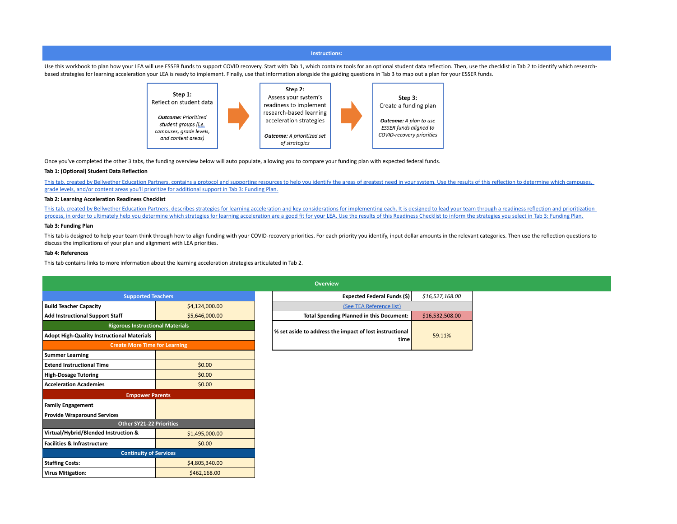#### **Instructions:**

Use this workbook to plan how your LEA will use ESSER funds to support COVID recovery. Start with Tab 1, which contains tools for an optional student data reflection. Then, use the checklist in Tab 2 to identify which rese based strategies for learning acceleration your LEA is ready to implement. Finally, use that information alongside the guiding questions in Tab 3 to map out a plan for your ESSER funds.



Once you've completed the other 3 tabs, the funding overview below will auto populate, allowing you to compare your funding plan with expected federal funds.

#### **Tab 1: (Optional) Student Data Reflection**

This tab, created by Bellwether Education Partners, contains a protocol and supporting resources to help you identify the areas of greatest need in your system. Use the results of this reflection to determine which campuse [grade levels, and/or content areas you'll prioritize for additional support in Tab 3: Funding Plan.](https://bellwethereducation.org/)

### **Tab 2: Learning Acceleration Readiness Checklist**

This tab, created by Bellwether Education Partners, describes strategies for learning acceleration and key considerations for implementing each. It is designed to lead your team through a readiness reflection and prioritiz process, in order to ultimately help you determine which strategies for learning acceleration are a good fit for your LEA. Use the results of this Readiness Checklist to inform the strategies you select in Tab 3: Funding P

## **Tab 3: Funding Plan**

This tab is designed to help your team think through how to align funding with your COVID-recovery priorities. For each priority you identify, input dollar amounts in the relevant categories. Then use the reflection questi discuss the implications of your plan and alignment with LEA priorities.

#### **Tab 4: References**

This tab contains links to more information about the learning acceleration strategies articulated in Tab 2.

|                                                   |                | <b>Overview</b>                                                 |                 |  |
|---------------------------------------------------|----------------|-----------------------------------------------------------------|-----------------|--|
| <b>Supported Teachers</b>                         |                | Expected Federal Funds (\$)                                     | \$16,527,168.00 |  |
| <b>Build Teacher Capacity</b>                     | \$4,124,000.00 | (See TEA Reference list)                                        |                 |  |
| <b>Add Instructional Support Staff</b>            | \$5,646,000.00 | <b>Total Spending Planned in this Document:</b>                 | \$16,532,508.00 |  |
| <b>Rigorous Instructional Materials</b>           |                |                                                                 |                 |  |
| <b>Adopt High-Quality Instructional Materials</b> |                | % set aside to address the impact of lost instructional<br>time | 59.11%          |  |
| <b>Create More Time for Learning</b>              |                |                                                                 |                 |  |
| <b>Summer Learning</b>                            |                |                                                                 |                 |  |
| <b>Extend Instructional Time</b>                  | \$0.00         |                                                                 |                 |  |
| <b>High-Dosage Tutoring</b>                       | \$0.00         |                                                                 |                 |  |
| <b>Acceleration Academies</b>                     | \$0.00         |                                                                 |                 |  |
| <b>Empower Parents</b>                            |                |                                                                 |                 |  |
| <b>Family Engagement</b>                          |                |                                                                 |                 |  |
| <b>Provide Wraparound Services</b>                |                |                                                                 |                 |  |
| <b>Other SY21-22 Priorities</b>                   |                |                                                                 |                 |  |
| Virtual/Hybrid/Blended Instruction &              | \$1,495,000.00 |                                                                 |                 |  |
| <b>Facilities &amp; Infrastructure</b>            | \$0.00         |                                                                 |                 |  |
| <b>Continuity of Services</b>                     |                |                                                                 |                 |  |
| <b>Staffing Costs:</b>                            | \$4,805,340.00 |                                                                 |                 |  |
| <b>Virus Mitigation:</b>                          | \$462,168.00   |                                                                 |                 |  |

|                            |                          |  | <b>Overview</b>                                                    |                 |  |  |  |
|----------------------------|--------------------------|--|--------------------------------------------------------------------|-----------------|--|--|--|
| <b>Supported Teachers</b>  |                          |  | Expected Federal Funds (\$)                                        | \$16,527,168.00 |  |  |  |
| \$4,124,000.00             |                          |  | (See TEA Reference list)                                           |                 |  |  |  |
|                            | \$5.646,000.00           |  | <b>Total Spending Planned in this Document:</b><br>\$16,532,508.00 |                 |  |  |  |
| us Instructional Materials |                          |  |                                                                    |                 |  |  |  |
| ıl Materials               |                          |  | % set aside to address the impact of lost instructional<br>time    | 59.11%          |  |  |  |
|                            | a Mora Tima for Laarning |  |                                                                    |                 |  |  |  |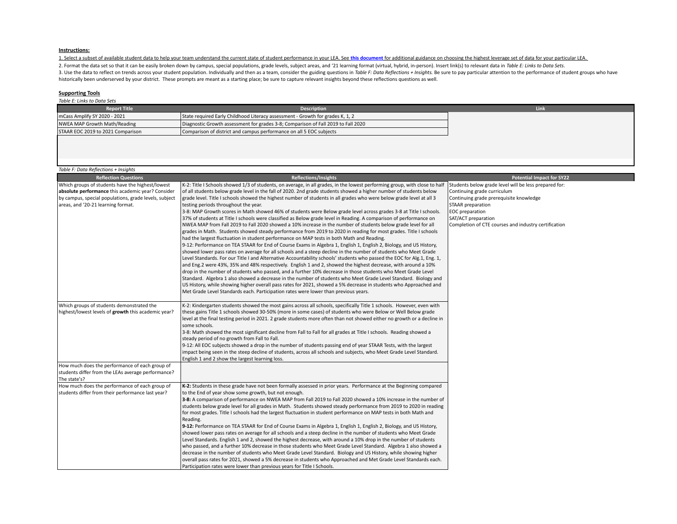#### **Instructions:**

[1. Select a subset of available student data to help your team understand the current state of student performance in your LEA. See](https://docs.google.com/document/d/13YG4gc3A162OJEG2N26d_pykPDwImIJCtga2y0XOq9M/edit) this document for additional guidance on choosing the highest leverage set of data for you

2. Format the data set so that it can be easily broken down by campus, special populations, grade levels, subject areas, and '21 learning format (virtual, hybrid, in-person). Insert link(s) to relevant data in Table E: Lin 3. Use the data to reflect on trends across your student population. Individually and then as a team, consider the guiding questions in Table F: Data Reflections + Insights. Be sure to pay particular attention to the perfo historically been underserved by your district.These prompts are meant as a starting place; be sure to capture relevant insights beyond these reflections questions as well.

### **Supporting Tools**

*Table E: Links to Data Sets*

| <b>Report Title</b>               | <b>Description</b>                                                                | Link |
|-----------------------------------|-----------------------------------------------------------------------------------|------|
| mCass Amplify SY 2020 - 2021      | State required Early Childhood Literacy assessment - Growth for grades K, 1, 2    |      |
| NWEA MAP Growth Math/Reading      | Diagnostic Growth assessment for grades 3-8; Comparison of Fall 2019 to Fall 2020 |      |
| STAAR EOC 2019 to 2021 Comparison | Comparison of district and campus performance on all 5 EOC subjects               |      |
|                                   |                                                                                   |      |

| Table F: Data Reflections + Insights                  |                                                                                                                            |                                                       |
|-------------------------------------------------------|----------------------------------------------------------------------------------------------------------------------------|-------------------------------------------------------|
|                                                       |                                                                                                                            |                                                       |
| <b>Reflection Questions</b>                           | <b>Reflections/Insights</b>                                                                                                | <b>Potential Impact for SY22</b>                      |
| Which groups of students have the highest/lowest      | K-2: Title I Schools showed 1/3 of students, on average, in all grades, in the lowest performing group, with close to half | Students below grade level will be less prepared for: |
| absolute performance this academic year? Consider     | of all students below grade level in the fall of 2020. 2nd grade students showed a higher number of students below         | Continuing grade curriculum                           |
| by campus, special populations, grade levels, subject | grade level. Title I schools showed the highest number of students in all grades who were below grade level at all 3       | Continuing grade prerequisite knowledge               |
| areas, and '20-21 learning format.                    | testing periods throughout the year.                                                                                       | STAAR preparation                                     |
|                                                       | 3-8: MAP Growth scores in Math showed 46% of students were Below grade level across grades 3-8 at Title I schools.         | EOC preparation                                       |
|                                                       | 37% of students at Title I schools were classified as Below grade level in Reading. A comparison of performance on         | SAT/ACT preparation                                   |
|                                                       | NWEA MAP from Fall 2019 to Fall 2020 showed a 10% increase in the number of students below grade level for all             | Completion of CTE courses and industry certification  |
|                                                       | grades in Math. Students showed steady performance from 2019 to 2020 in reading for most grades. Title I schools           |                                                       |
|                                                       | had the largest fluctuation in student performance on MAP tests in both Math and Reading.                                  |                                                       |
|                                                       | 9-12: Performance on TEA STAAR for End of Course Exams in Algebra 1, English 1, English 2, Biology, and US History,        |                                                       |
|                                                       | showed lower pass rates on average for all schools and a steep decline in the number of students who Meet Grade            |                                                       |
|                                                       | Level Standards. For our Title I and Alternative Accountability schools' students who passed the EOC for Alg.1, Eng. 1,    |                                                       |
|                                                       | and Eng.2 were 43%, 35% and 48% respectively. English 1 and 2, showed the highest decrease, with around a 10%              |                                                       |
|                                                       | drop in the number of students who passed, and a further 10% decrease in those students who Meet Grade Level               |                                                       |
|                                                       | Standard. Algebra 1 also showed a decrease in the number of students who Meet Grade Level Standard. Biology and            |                                                       |
|                                                       | US History, while showing higher overall pass rates for 2021, showed a 5% decrease in students who Approached and          |                                                       |
|                                                       | Met Grade Level Standards each. Participation rates were lower than previous years.                                        |                                                       |
|                                                       |                                                                                                                            |                                                       |
| Which groups of students demonstrated the             | K-2: Kindergarten students showed the most gains across all schools, specifically Title 1 schools. However, even with      |                                                       |
| highest/lowest levels of growth this academic year?   | these gains Title 1 schools showed 30-50% (more in some cases) of students who were Below or Well Below grade              |                                                       |
|                                                       | level at the final testing period in 2021. 2 grade students more often than not showed either no growth or a decline in    |                                                       |
|                                                       | some schools.                                                                                                              |                                                       |
|                                                       | 3-8: Math showed the most significant decline from Fall to Fall for all grades at Title I schools. Reading showed a        |                                                       |
|                                                       | steady period of no growth from Fall to Fall.                                                                              |                                                       |
|                                                       | 9-12: All EOC subjects showed a drop in the number of students passing end of year STAAR Tests, with the largest           |                                                       |
|                                                       | impact being seen in the steep decline of students, across all schools and subjects, who Meet Grade Level Standard.        |                                                       |
|                                                       | English 1 and 2 show the largest learning loss.                                                                            |                                                       |
| How much does the performance of each group of        |                                                                                                                            |                                                       |
| students differ from the LEAs average performance?    |                                                                                                                            |                                                       |
| The state's?                                          |                                                                                                                            |                                                       |
| How much does the performance of each group of        | K-2: Students in these grade have not been formally assessed in prior years. Performance at the Beginning compared         |                                                       |
| students differ from their performance last year?     | to the End of year show some growth, but not enough.                                                                       |                                                       |
|                                                       | 3-8: A comparison of performance on NWEA MAP from Fall 2019 to Fall 2020 showed a 10% increase in the number of            |                                                       |
|                                                       | students below grade level for all grades in Math. Students showed steady performance from 2019 to 2020 in reading         |                                                       |
|                                                       | for most grades. Title I schools had the largest fluctuation in student performance on MAP tests in both Math and          |                                                       |
|                                                       | Reading.                                                                                                                   |                                                       |
|                                                       | 9-12: Performance on TEA STAAR for End of Course Exams in Algebra 1, English 1, English 2, Biology, and US History,        |                                                       |
|                                                       | showed lower pass rates on average for all schools and a steep decline in the number of students who Meet Grade            |                                                       |
|                                                       | Level Standards. English 1 and 2, showed the highest decrease, with around a 10% drop in the number of students            |                                                       |
|                                                       | who passed, and a further 10% decrease in those students who Meet Grade Level Standard. Algebra 1 also showed a            |                                                       |
|                                                       | decrease in the number of students who Meet Grade Level Standard. Biology and US History, while showing higher             |                                                       |
|                                                       | overall pass rates for 2021, showed a 5% decrease in students who Approached and Met Grade Level Standards each.           |                                                       |
|                                                       | Participation rates were lower than previous years for Title I Schools.                                                    |                                                       |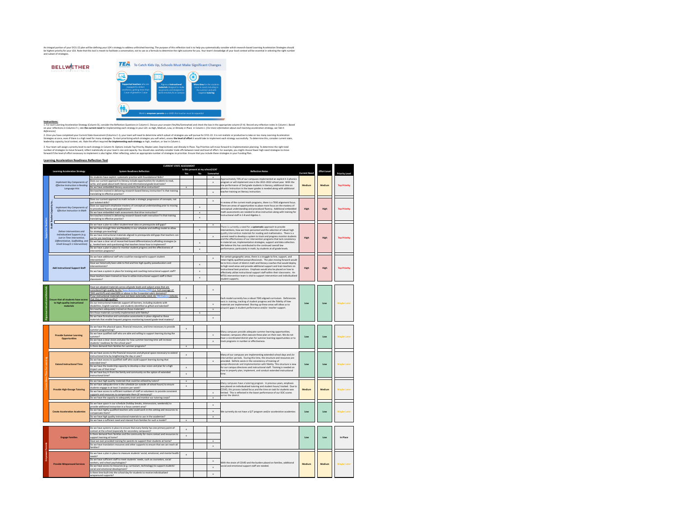An integral portion of your ST1-22 plan will be defining your LEA's strategy to address undirelevant phase of the metric model is the behavior and the phase patematically consider and the metrical phases are also and the c

# TEA To Catch Kids Up, Schools Must Make Significant Changes **BELLWETHER** ⊡

**Instructions:** cceleration Strategy (Column D), consider the Reflection Questions in Column E. Discuss your answer (Yes/Ao/Somewhat) and check the box in the appropriate column (F-H). Record any reflection notes in Column 1. Based<br>Column

2. Once you have completed your Current State Assessment (Columns CJ), your team will need to determine which subset of strategies you will pursue for SY21-22. It is not realistic or productive to take on too many iseming

3. Your team will scign a priority level to each strategy in Column N. Options include Top Priority, Maybe Later, Deprioritized, and Already in Place. Top Priorities will move forward to implementation planning. To determi

#### **Learning Acceleration Readiness Reflection Tool**

|                               |        | <b>Learning Acceleration Strategy</b>                              | <b>System Readliness Reflection</b>                                                                                                                                                       | Yes                                                                                                                                                                | Is this present at my school/LEA?<br>No | Somewhat                                                                 | <b>Reflection Notes</b>                                                                                                                                   | <b>Current Need</b> | <b>Effort Level</b> | <b>Priority Level</b> |
|-------------------------------|--------|--------------------------------------------------------------------|-------------------------------------------------------------------------------------------------------------------------------------------------------------------------------------------|--------------------------------------------------------------------------------------------------------------------------------------------------------------------|-----------------------------------------|--------------------------------------------------------------------------|-----------------------------------------------------------------------------------------------------------------------------------------------------------|---------------------|---------------------|-----------------------|
|                               |        |                                                                    | Do students have explicit, systematic practice with Foundational Skills?                                                                                                                  |                                                                                                                                                                    |                                         |                                                                          | Approximately 70% of our campuses implemented an explicit K-3 phonics                                                                                     |                     |                     |                       |
|                               |        | Implement Key Components of<br>Effective Instruction in Reading    | Does our current approach to literacy include opportunities for students to read.<br>wite, and speak about both literary and informational grade-level texts?                             |                                                                                                                                                                    |                                         | $\mathbf{x}$                                                             | program or will implement one in the 2021-2022 school year. With the<br>low performance of 2nd grade students in literacy, additional time on             | Medium              | Medium              | <b>Top Priority</b>   |
|                               |        | Language Arts                                                      | Do we have embedded literacy assessments that drive instruction?<br>Are teachers trained in delivering research-based literacy instruction? Is that training                              | $\boldsymbol{\mathbf{x}}$                                                                                                                                          |                                         |                                                                          | phonics instruction in the lower grades is needed along with additional                                                                                   |                     |                     |                       |
|                               |        |                                                                    | anslating to effective practice?                                                                                                                                                          |                                                                                                                                                                    |                                         | $\mathbf{x}$                                                             | teacher training on literacy instruction.                                                                                                                 |                     |                     |                       |
|                               | لو     |                                                                    | Does our current approach to math include a strategic progression of concepts, not<br>ust isolated skills?                                                                                | $\mathbf{x}$                                                                                                                                                       |                                         | In review of the current math programs, there is a TEKS alignment focus. |                                                                                                                                                           |                     |                     |                       |
|                               |        | <b>Implement Key Components of</b>                                 | loes our approach emphasize mastery of conceptual understanding prior to moving<br>o procedural fluency and applications?                                                                 |                                                                                                                                                                    | $\mathbf{x}$                            |                                                                          | There are areas of opportunities to place more focus on the mastery of                                                                                    |                     |                     |                       |
|                               | ă      | Effective Instruction in Math                                      | Do we have embedded math assessments that drive instruction?<br>Are teachers trained in delivering research-based math instruction? Is that training<br>ranslating to effective practice? |                                                                                                                                                                    | $\mathbf{x}$                            |                                                                          | conceptual understanding and procedural fluency. Additional embedded<br>math assessments are needed to drive instruction along with training for          | High                | High                | <b>Top Priority</b>   |
|                               | ž      |                                                                    |                                                                                                                                                                                           |                                                                                                                                                                    | $\mathbf{x}$                            |                                                                          | instructional staff in 3-8 and Algebra 1.                                                                                                                 |                     |                     |                       |
| <b>Supported Teachers</b>     | ž      |                                                                    |                                                                                                                                                                                           |                                                                                                                                                                    |                                         |                                                                          |                                                                                                                                                           |                     |                     |                       |
|                               | Build' |                                                                    | Do we have a plan to collect student-level data on prerequisite skill gaps?<br>Do we have enough time and flexibility in our schedule and staffing model to allow                         |                                                                                                                                                                    | $\boldsymbol{\mathbf{x}}$               | $\mathbf{x}$                                                             | There is currently a need for a systematic approach to provide<br>interventions, how we train personnel and the selection of robust high                  |                     |                     |                       |
|                               |        | Deliver Interventions and<br>Individualized Supports (e.g.         | for strategic pre-teaching?<br>Do we have instructional materials aligned to prerequisite skill gaps that teachers can                                                                    |                                                                                                                                                                    |                                         |                                                                          | quality intervention materials for reading and mathematics. There is a                                                                                    |                     |                     |                       |
|                               |        | Just-in-Time Intervention,                                         | use for pre-teaching or interventions?                                                                                                                                                    |                                                                                                                                                                    |                                         | x                                                                        | current need to develop a system to track and progress monitor students<br>and the effectiveness of our intervention programs that lack consistency       | High                | High                | <b>Top Priority</b>   |
|                               |        | Differentiation, Scaffolding, and<br>Small Group/1:1 Intervention) | Do we have a clear set of researched-based differentiation/scaffolding strategies (e.<br>., leveled texts and questioning) that teachers know how to implement?                           |                                                                                                                                                                    | $\mathbf x$                             |                                                                          | in material use, implementation strategies, support and data collection.<br>We believe this has contributed to the continued overall low                  |                     |                     |                       |
|                               |        |                                                                    | Do we have a plan in place to monitor student progress and the effectiveness of                                                                                                           |                                                                                                                                                                    | $\boldsymbol{\mathbf{x}}$               |                                                                          | performance, particularly in math, by students at all grade levels.                                                                                       |                     |                     |                       |
|                               |        |                                                                    | tervention programs?                                                                                                                                                                      |                                                                                                                                                                    |                                         |                                                                          |                                                                                                                                                           |                     |                     |                       |
|                               |        |                                                                    | Do we have additional staff who could be reassigned to support student<br>interventions?                                                                                                  |                                                                                                                                                                    |                                         | x                                                                        | For certain geographic areas, there is a struggle to hire, support, and<br>retain highly qualified paraprofessionals. The plan moving forward would       |                     |                     |                       |
|                               |        |                                                                    | Have we historically been able to find and hire high-quality paraeducators and                                                                                                            |                                                                                                                                                                    | $\mathbf{x}$                            |                                                                          | be to hire a team of district math and literacy coaches that would deploy<br>to high need areas and provide additional support and train teachers on      |                     |                     |                       |
|                               |        | <b>Add Instructional Support Staff</b>                             | terventionists?<br>Do we have a system in place for training and coaching instructional support staff?                                                                                    |                                                                                                                                                                    | $\boldsymbol{\mathbf{x}}$               |                                                                          | instructional best practices. Emphasis would also be placed on how to                                                                                     | High                | High                | <b>Top Priority</b>   |
|                               |        |                                                                    | Have teachers been trained on how to utilize instructional support staff in their                                                                                                         |                                                                                                                                                                    |                                         |                                                                          | effectively utilize instructional support staff within their classrooms. An<br>MTSS intervention team is vital to support intervention and individualized |                     |                     |                       |
|                               |        |                                                                    | lassrooms?                                                                                                                                                                                |                                                                                                                                                                    | $\boldsymbol{\mathbf{x}}$               |                                                                          | student sunnorts                                                                                                                                          |                     |                     |                       |
|                               |        |                                                                    | Have we adopted materials across all grade levels and subject areas that are                                                                                                              |                                                                                                                                                                    |                                         |                                                                          |                                                                                                                                                           |                     |                     |                       |
| orous Instructional Materials |        |                                                                    | considered high quality by the Texas Resource Review (TRR) (i.e. Full coverage of                                                                                                         |                                                                                                                                                                    |                                         | x                                                                        |                                                                                                                                                           |                     |                     |                       |
|                               |        |                                                                    | TEKS and ELPS and rated 80% or above in the 3 essential rubric domains)?<br>If our instructional materials have not been externally rated, do TRR Rubrics indicate                        |                                                                                                                                                                    |                                         |                                                                          |                                                                                                                                                           |                     |                     |                       |
|                               |        | <b>Fosure that all students have access</b>                        | that they are high quality?                                                                                                                                                               | $\mathbf{x}$<br>Each model currently has a robust TEKS aligned curriculum. Deficiencies<br>exist in training, tracking of student progress and the fidelity of how |                                         |                                                                          |                                                                                                                                                           |                     |                     |                       |
|                               |        | to high-quality instructional<br>materials                         | Do our instructional materials support all learners, including students with<br>disabilities, English Learners, and students identified as gifted and talented?                           |                                                                                                                                                                    |                                         | x                                                                        | materials are implemented. Shoring up these areas will allow us to<br>pinpoint gaps in student performance and/or teacher support.                        | Low                 | Low                 | <b>Maybe Later</b>    |
|                               |        |                                                                    | Are teachers adequately trained on those materials?                                                                                                                                       |                                                                                                                                                                    |                                         | $\boldsymbol{\mathbf{x}}$                                                |                                                                                                                                                           |                     |                     |                       |
|                               |        |                                                                    | Are those materials currently implemented with fidelity?<br>Do we have formative and summative assessments in place aligned to these                                                      |                                                                                                                                                                    |                                         |                                                                          |                                                                                                                                                           |                     |                     |                       |
|                               |        |                                                                    | $\mathbf x$<br>materials that enable frequent progress monitoring toward grade-level mastery?                                                                                             |                                                                                                                                                                    |                                         |                                                                          |                                                                                                                                                           |                     |                     |                       |
|                               |        |                                                                    | Do we have the physical space, financial resources, and time necessary to provide                                                                                                         | $\boldsymbol{\mathbf{x}}$                                                                                                                                          |                                         |                                                                          |                                                                                                                                                           |                     |                     |                       |
|                               |        |                                                                    | summer programming?<br>Do we have qualified staff who are able and willing to support learning during the                                                                                 |                                                                                                                                                                    |                                         |                                                                          | Many campuses provide adequate summer learning opportunities:                                                                                             |                     |                     |                       |
|                               |        | <b>Provide Summer Learning</b><br><b>Opportunities</b>             | summer?                                                                                                                                                                                   |                                                                                                                                                                    |                                         | $\mathbf{x}$                                                             | however, campuses often execute these plan on their own. We do not<br>have a coordinated district plan for summer learning opportunities or to            | <b>Low</b>          | Low                 | <b>Maybe Later</b>    |
|                               |        |                                                                    | Do we have a clear vision and plan for how summer learning time will increase<br>tudents' readiness for the school year?                                                                  |                                                                                                                                                                    |                                         | $\mathbf{x}$                                                             | track programs in number or effectiveness.                                                                                                                |                     |                     |                       |
|                               |        |                                                                    | Is there demand from families for summer programs?                                                                                                                                        | $\mathbf x$                                                                                                                                                        |                                         |                                                                          |                                                                                                                                                           |                     |                     |                       |
|                               |        |                                                                    | Do we have access to the financial resources and physical space necessary to extend                                                                                                       | $\boldsymbol{\mathbf{x}}$                                                                                                                                          |                                         |                                                                          |                                                                                                                                                           |                     |                     |                       |
|                               |        |                                                                    | instructional time by lengthening the day or year?<br>Do we have access to qualified staff who could support learning during that                                                         |                                                                                                                                                                    |                                         |                                                                          | Many of our campuses are implementing extended school days and /or<br>intervention periods. During this time, the structure and resources are             |                     |                     |                       |
|                               |        | <b>Extend Instructional Time</b>                                   | extended time?                                                                                                                                                                            |                                                                                                                                                                    |                                         |                                                                          | provided. Deficits exists in the consistency of training of<br>paraprofessionals and implementation with fidelity. This structure is new                  | Low                 | Low                 | <b>Maybe Late</b>     |
|                               |        |                                                                    | Do we have the leadership capacity to develop a clear vision and plan for a high<br>impact use of that time?                                                                              |                                                                                                                                                                    |                                         |                                                                          | for our campus directores and instructional staff. Training is needed on                                                                                  |                     |                     |                       |
|                               |        |                                                                    | Do we have buy in from the family and community on the option of extended<br>$\mathbf{x}$                                                                                                 |                                                                                                                                                                    |                                         |                                                                          | how to properly plan, implement, and conduct extended instructional<br>time                                                                               |                     |                     |                       |
|                               |        |                                                                    | instructional time?                                                                                                                                                                       |                                                                                                                                                                    |                                         |                                                                          |                                                                                                                                                           |                     |                     |                       |
|                               |        |                                                                    | Do we have high-quality materials that could be utilized by tutors?<br>Do we have adequate time in the schedule (or outside of school hours) to ensure                                    | $\mathbf{x}$<br>$\mathbf{x}$                                                                                                                                       |                                         |                                                                          | Many campuses have a tutoring program. In previous years, emphasis<br>was placed on individualized tutoring and student hours/ tracked. Due to            |                     |                     |                       |
|                               |        | <b>Provide High-Dosage Tutoring</b>                                | students engage in at least 3 sessions per week?                                                                                                                                          |                                                                                                                                                                    |                                         |                                                                          | COVID, this process lacked focus and the time on task for students was                                                                                    | Medium              | Medium              | <b>Maybe Later</b>    |
|                               |        |                                                                    | Do we have access to sufficient numbers of staff or volunteers to provide consistent<br>supports and resources to compensate them (if necessary)?                                         |                                                                                                                                                                    |                                         | $\mathbf{x}$                                                             | limited. This is reflected in the lower performance of our EOC scores<br>across the district.                                                             |                     |                     |                       |
|                               |        |                                                                    | Do we have the capacity to adequately train and monitor our tutoring corps?                                                                                                               |                                                                                                                                                                    |                                         | $\overline{\mathbf{x}}$                                                  |                                                                                                                                                           |                     |                     |                       |
|                               |        |                                                                    | Do we have space in our schedule (holiday breaks, intersessions, weekends) to                                                                                                             |                                                                                                                                                                    |                                         | $\mathbf{x}$                                                             |                                                                                                                                                           |                     |                     |                       |
|                               |        |                                                                    | provide additional instruction in a focus content area?<br>Do we have highly qualified teachers who could work in this setting and resources to                                           |                                                                                                                                                                    |                                         | $\mathbf{x}$                                                             |                                                                                                                                                           |                     |                     |                       |
|                               |        | <b>Create Acceleration Academies</b>                               | compensate them?<br>Do we have high quality instructional materials to use in the academies?                                                                                              |                                                                                                                                                                    |                                         | $\mathbf x$                                                              | We currently do not have a G/T program and/or acceleration academies                                                                                      | Low                 | Low                 | <b>Maybe Later</b>    |
|                               |        |                                                                    | Do we have a sufficient need and interest from families for such a model?                                                                                                                 | $\mathbf{x}$                                                                                                                                                       |                                         |                                                                          |                                                                                                                                                           |                     |                     |                       |
|                               |        |                                                                    |                                                                                                                                                                                           |                                                                                                                                                                    |                                         |                                                                          |                                                                                                                                                           |                     |                     |                       |
|                               |        |                                                                    | Do we have systems in place to ensure that every family has one primary point-of-<br>contact at the school (especially for secondary campuses)?                                           | $\boldsymbol{\mathbf{x}}$                                                                                                                                          |                                         |                                                                          |                                                                                                                                                           |                     |                     |                       |
|                               |        |                                                                    | Is there demand from families and the community for more contact and resources to                                                                                                         | $\boldsymbol{\mathbf{x}}$                                                                                                                                          |                                         |                                                                          |                                                                                                                                                           | Low                 | Low                 | In Place              |
|                               |        | <b>Engage Families</b>                                             | Support learning at home?<br>Have we ever provided training for parents to support their students at home?                                                                                |                                                                                                                                                                    |                                         | $\mathbf{x}$                                                             |                                                                                                                                                           |                     |                     |                       |
|                               |        |                                                                    | Do we have translation resources and other supports to ensure that we can reach all<br>Szailima                                                                                           |                                                                                                                                                                    |                                         | $\mathbf{x}$                                                             |                                                                                                                                                           |                     |                     |                       |
|                               |        |                                                                    | Do we have a plan in place to measure students' social, emotional, and mental health                                                                                                      |                                                                                                                                                                    |                                         |                                                                          |                                                                                                                                                           |                     |                     |                       |
|                               |        |                                                                    | needs?                                                                                                                                                                                    |                                                                                                                                                                    |                                         |                                                                          |                                                                                                                                                           |                     |                     |                       |
|                               |        |                                                                    | Do we have sufficient staff to meet students' needs, such as counselors, social<br>vorkers, and school psychologists?                                                                     |                                                                                                                                                                    |                                         |                                                                          | With the strain of COVID and the burden placed on families, additional                                                                                    |                     | Medium              |                       |
|                               |        | <b>Provide Wraparound Services</b>                                 | Do we have access to resources (e.g. curriculum, technology) to support students'<br>Ctoamgolywab legatioma has leian:                                                                    |                                                                                                                                                                    |                                         |                                                                          | Medium<br>social and emotional support staff are needed.                                                                                                  |                     |                     | <b>Maybe Later</b>    |
|                               |        |                                                                    | s there time built into the school day for students to receive individualized                                                                                                             |                                                                                                                                                                    |                                         | $\mathbf{x}$                                                             |                                                                                                                                                           |                     |                     |                       |
|                               |        |                                                                    | raparound supports?                                                                                                                                                                       |                                                                                                                                                                    |                                         |                                                                          |                                                                                                                                                           |                     |                     |                       |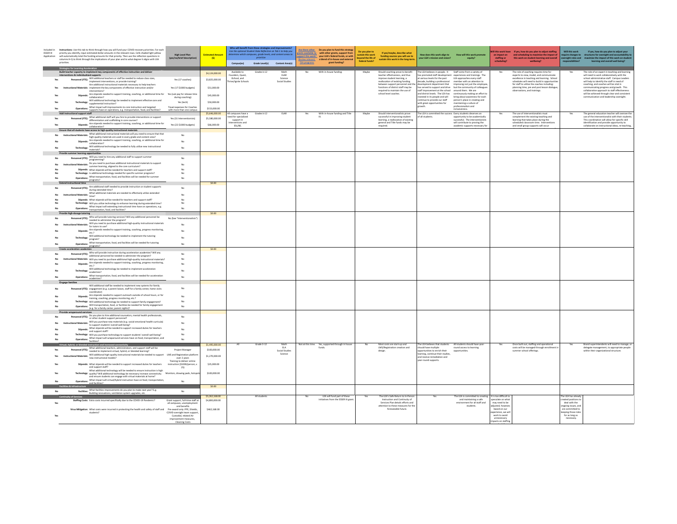| Included in<br><b>ESSER III</b><br>Application |                                | Instructions: Use this tab to think through how you will fund your COVID-recovery priorities. For each<br>priority you identify, input estimated dollar amounts in the relevant rows. Cells shaded light yellow<br>will automatically total the funding amounts for that priority. Then use the reflection questions in<br>columns H-Q to think through the implications of your plan and to what degree it aligns with LEA | <b>High Level Plan</b><br>(yes/no/brief description)                          | <b>Estimated Amo</b><br>(s) | Who will benefit from these strategies and improvements?<br>Use the optional Student Data Reflection on Tab 1 to help you<br>Campus(es) | etermine which campuses, grade levels, and content areas to<br>Grade Level(s) | Content Area(s)           | <b>Review relevant</b><br><b>TEA programs</b> | Are there other. Do you plan to fund this strateg<br>Fants available to with other grants, support from<br>pport this work? your LEA's federal funds, or with<br>a blend of in-house and external<br>grant funding? | Do you plan to<br>eyond the life of<br>federal funds? | If yes/maybe, describe what<br>funding sources you will use to<br>sustain this work in the long-tern | How does this work align to<br>your LEA's mission and vision?     | How will this work pr<br>equity?                                                                                      |                                   | III this work have If yes, how do you plan to adjust staffing<br>an impact on and scheduling to maximize the impact of<br>staffing or this work on student learning and overall<br>wellbeing? | Will this work<br>quire changes to<br>ersight roles and  | If yes, how do you plan to adjust your<br>structures for oversight and accountability t<br>maximize the impact of this work on studen<br>learning and overall well beit |
|------------------------------------------------|--------------------------------|-----------------------------------------------------------------------------------------------------------------------------------------------------------------------------------------------------------------------------------------------------------------------------------------------------------------------------------------------------------------------------------------------------------------------------|-------------------------------------------------------------------------------|-----------------------------|-----------------------------------------------------------------------------------------------------------------------------------------|-------------------------------------------------------------------------------|---------------------------|-----------------------------------------------|---------------------------------------------------------------------------------------------------------------------------------------------------------------------------------------------------------------------|-------------------------------------------------------|------------------------------------------------------------------------------------------------------|-------------------------------------------------------------------|-----------------------------------------------------------------------------------------------------------------------|-----------------------------------|-----------------------------------------------------------------------------------------------------------------------------------------------------------------------------------------------|----------------------------------------------------------|-------------------------------------------------------------------------------------------------------------------------------------------------------------------------|
|                                                | gies for Learning Acceleration |                                                                                                                                                                                                                                                                                                                                                                                                                             |                                                                               |                             |                                                                                                                                         |                                                                               |                           |                                               |                                                                                                                                                                                                                     |                                                       |                                                                                                      |                                                                   |                                                                                                                       |                                   |                                                                                                                                                                                               |                                                          |                                                                                                                                                                         |
|                                                | ons & individualized supports  | Build teacher capacity to implement key components of effective instruction and deliver                                                                                                                                                                                                                                                                                                                                     |                                                                               | S4.124,000.00               | Available to<br>ounders, Quest,                                                                                                         | Grades k-12                                                                   | Math<br>ELAR              | No.                                           | With in-house funding.                                                                                                                                                                                              | Maybe                                                 | Should coaching prove to benefit<br>teacher effectiveness, and thus                                  | The LEA believes in people. It Staff come from a variety of       | as promoted staff development experiences and trainings. The                                                          | Yes                               | The role of coaching requires time for<br>experts to view, model, and communicate                                                                                                             | Yes                                                      | The role of an expert in teaching and learning<br>will need to work collaboratively with the                                                                            |
|                                                |                                | Personnel (FTE): Will additional teachers or staff be needed to reduce class sizes,<br>Personnel (FTE): implement interventions, or provide training?                                                                                                                                                                                                                                                                       | Yes (17 coaches)                                                              | \$3,825,000.00              | iSchool, and<br>re/Ignite Schools                                                                                                       |                                                                               | Science<br>Social Studies |                                               |                                                                                                                                                                                                                     |                                                       | improve student learning, a<br>reallocation of existing funding                                      | at various levels for the past LEA approaches every staff         | member with an attention to                                                                                           |                                   | excellence in teaching and learning. School<br>schedules will need to build in connectual                                                                                                     |                                                          | school administrative staff. Campus Leaders<br>will help to identify the staff in need of                                                                               |
|                                                |                                | Are additional instructional materials necessary to help teachers                                                                                                                                                                                                                                                                                                                                                           |                                                                               |                             |                                                                                                                                         |                                                                               |                           |                                               |                                                                                                                                                                                                                     |                                                       | between support personnel and th                                                                     | decade, building a professional<br>development department that    | improving not just the employe                                                                                        |                                   | for staff to utilize the coaches including:                                                                                                                                                   |                                                          | coaching, and coaches will be vital in                                                                                                                                  |
|                                                |                                | nal Materials: implement the key components of effective instruction and/or<br>interventions?                                                                                                                                                                                                                                                                                                                               | Yes (17 \$1000 budgets)                                                       | \$51,000.00                 |                                                                                                                                         |                                                                               |                           |                                               |                                                                                                                                                                                                                     |                                                       | functions of district staff may be<br>required to maintain the use of                                |                                                                   | has served to support and drive but the community of colleague<br>staff improvement at the school around them. We are |                                   | planning time, pre and post lesson dialogue<br>observations, and trainings.                                                                                                                   |                                                          | communicating progress and growth. This<br>collaborative approach to staff effectiveness                                                                                |
|                                                |                                | Stipends: Are stipends needed to support training, coaching, or additional time for Yes (sub pay for release time<br>collaboration?                                                                                                                                                                                                                                                                                         | during coaching)                                                              | \$45,000.00                 |                                                                                                                                         |                                                                               |                           |                                               |                                                                                                                                                                                                                     |                                                       | school level coaches.                                                                                | and district levels. The LEA has<br>wested in its people and will | continuously making an effort to<br>bring about awareness for each                                                    |                                   |                                                                                                                                                                                               |                                                          | will be achieved through clear and consistent<br>communication and leadership oversight.                                                                                |
|                                                |                                | Technology: Will additional technology be needed to implement effective core and<br>supplemental instruction?                                                                                                                                                                                                                                                                                                               | Yes (tech)                                                                    | \$50,000.00                 |                                                                                                                                         |                                                                               |                           |                                               |                                                                                                                                                                                                                     |                                                       |                                                                                                      | ontinue to provide our staff                                      | person's place in creating and                                                                                        |                                   |                                                                                                                                                                                               |                                                          |                                                                                                                                                                         |
|                                                |                                | Operations: What impact will improvements to core instruction and targeted                                                                                                                                                                                                                                                                                                                                                  | Travel expenses for Coaches                                                   | \$153,000.00                |                                                                                                                                         |                                                                               |                           |                                               |                                                                                                                                                                                                                     |                                                       |                                                                                                      | ith great opportunities for<br>wth.                               | maintaining a culture of<br>professionalism and                                                                       |                                   |                                                                                                                                                                                               |                                                          |                                                                                                                                                                         |
|                                                | mal support staff              | supports have on operations, e.g. transportation, food, and facilities?                                                                                                                                                                                                                                                                                                                                                     | with more than one campu.                                                     | \$5,646,000.00              | campuses have a                                                                                                                         | Grades k-12                                                                   | ELAR                      | Yes                                           | With in-house funding and Title                                                                                                                                                                                     | Maybe                                                 | Should interventionalists prov                                                                       | he LEA is committed the success Every students deserves an        | inclusiveness                                                                                                         |                                   | The use of interventionalists must                                                                                                                                                            | Yes                                                      | The general education teacher will oversee the                                                                                                                          |
|                                                |                                | <br>Personnel (FTE): What additional staff will you hire to provide interventions or support<br>Personnel (FTE): differentiation and scaffolding in core courses?                                                                                                                                                                                                                                                           | Yes (31 Interventionists)                                                     | \$5,580,000.00              | red for specialized                                                                                                                     |                                                                               |                           |                                               |                                                                                                                                                                                                                     |                                                       | successful in improving student                                                                      | f all students.                                                   | opportunity to be academically                                                                                        |                                   | complement the existing teaching and                                                                                                                                                          |                                                          | use of the interventionalist with their students                                                                                                                        |
|                                                |                                | Stipends: Are stipends needed to support training, coaching, or additional time for                                                                                                                                                                                                                                                                                                                                         |                                                                               |                             | support in<br>erventions and                                                                                                            |                                                                               |                           |                                               |                                                                                                                                                                                                                     |                                                       | learning, a reallocation of existing<br>general and Title funds may be                               |                                                                   | successful. The interventio<br>will contribute to proving the                                                         |                                   | learning that takes place during the<br>scheduled classroom time. Interventions                                                                                                               |                                                          | This coordination will allow for specific skill<br>identification and provide opportunity to                                                                            |
|                                                |                                | collaboration?<br>sure that all students have access to high-quality instructional materials                                                                                                                                                                                                                                                                                                                                | Yes (22 \$1000 budgets)                                                       | \$66,000.00                 | ESL/BE.                                                                                                                                 |                                                                               |                           |                                               |                                                                                                                                                                                                                     |                                                       | guired.                                                                                              |                                                                   | academic supports necessary for                                                                                       |                                   | and small group supports will occur                                                                                                                                                           |                                                          | collaborate on instructional ideas, re-teaching,                                                                                                                        |
|                                                |                                | -<br><b>hand Materials:</b> What additional instructional materials will you need to ensure that that<br>high-quality materials are used in every grade and content area?<br><b>Stipends:</b> $\frac{Am \times k\text{lept} - k\text{lept}}{2}$<br><b>Stipends:</b> $\frac{Am \$                                                                                                                                            | No                                                                            |                             |                                                                                                                                         |                                                                               |                           |                                               |                                                                                                                                                                                                                     |                                                       |                                                                                                      |                                                                   |                                                                                                                       |                                   |                                                                                                                                                                                               |                                                          |                                                                                                                                                                         |
|                                                |                                |                                                                                                                                                                                                                                                                                                                                                                                                                             |                                                                               |                             |                                                                                                                                         |                                                                               |                           |                                               |                                                                                                                                                                                                                     |                                                       |                                                                                                      |                                                                   |                                                                                                                       |                                   |                                                                                                                                                                                               |                                                          |                                                                                                                                                                         |
|                                                |                                | collaboration?                                                                                                                                                                                                                                                                                                                                                                                                              | No                                                                            |                             |                                                                                                                                         |                                                                               |                           |                                               |                                                                                                                                                                                                                     |                                                       |                                                                                                      |                                                                   |                                                                                                                       |                                   |                                                                                                                                                                                               |                                                          |                                                                                                                                                                         |
|                                                |                                | Technology: Will additional technology be needed to fully utilize new instructional<br>materials?                                                                                                                                                                                                                                                                                                                           | No                                                                            |                             |                                                                                                                                         |                                                                               |                           |                                               |                                                                                                                                                                                                                     |                                                       |                                                                                                      |                                                                   |                                                                                                                       |                                   |                                                                                                                                                                                               |                                                          |                                                                                                                                                                         |
|                                                |                                | learning opportunities                                                                                                                                                                                                                                                                                                                                                                                                      |                                                                               |                             |                                                                                                                                         |                                                                               |                           |                                               |                                                                                                                                                                                                                     |                                                       |                                                                                                      |                                                                   |                                                                                                                       |                                   |                                                                                                                                                                                               |                                                          |                                                                                                                                                                         |
|                                                |                                | Personnel (FTE): Will you need to hire any additional staff to support summer                                                                                                                                                                                                                                                                                                                                               | No                                                                            |                             |                                                                                                                                         |                                                                               |                           |                                               |                                                                                                                                                                                                                     |                                                       |                                                                                                      |                                                                   |                                                                                                                       |                                   |                                                                                                                                                                                               |                                                          |                                                                                                                                                                         |
|                                                |                                | structional Materials: Do you need to purchase additional instructional materials to support<br>summer learning, aligned to the core curriculum?                                                                                                                                                                                                                                                                            | No                                                                            |                             |                                                                                                                                         |                                                                               |                           |                                               |                                                                                                                                                                                                                     |                                                       |                                                                                                      |                                                                   |                                                                                                                       |                                   |                                                                                                                                                                                               |                                                          |                                                                                                                                                                         |
|                                                |                                | Stipends: What stipends will be needed for teachers and support staff?<br>fechnology: Is additional technology needed for specific summer programs?                                                                                                                                                                                                                                                                         | No<br>No                                                                      |                             |                                                                                                                                         |                                                                               |                           |                                               |                                                                                                                                                                                                                     |                                                       |                                                                                                      |                                                                   |                                                                                                                       |                                   |                                                                                                                                                                                               |                                                          |                                                                                                                                                                         |
|                                                |                                | Operations: What transportation, food, and facilities will be needed for summer                                                                                                                                                                                                                                                                                                                                             | No                                                                            |                             |                                                                                                                                         |                                                                               |                           |                                               |                                                                                                                                                                                                                     |                                                       |                                                                                                      |                                                                   |                                                                                                                       |                                   |                                                                                                                                                                                               |                                                          |                                                                                                                                                                         |
|                                                |                                | programs?                                                                                                                                                                                                                                                                                                                                                                                                                   |                                                                               | \$0.00                      |                                                                                                                                         |                                                                               |                           |                                               |                                                                                                                                                                                                                     |                                                       |                                                                                                      |                                                                   |                                                                                                                       |                                   |                                                                                                                                                                                               |                                                          |                                                                                                                                                                         |
|                                                |                                | Personnel (FTE): Are additional staff needed to provide instruction or student supports<br>resonnel (FTE): during extended time?                                                                                                                                                                                                                                                                                            | No                                                                            |                             |                                                                                                                                         |                                                                               |                           |                                               |                                                                                                                                                                                                                     |                                                       |                                                                                                      |                                                                   |                                                                                                                       |                                   |                                                                                                                                                                                               |                                                          |                                                                                                                                                                         |
|                                                |                                | Materials: What additional materials are needed to effectively utilize extended<br>all Materials: $_{\rm time2}$                                                                                                                                                                                                                                                                                                            | No                                                                            |                             |                                                                                                                                         |                                                                               |                           |                                               |                                                                                                                                                                                                                     |                                                       |                                                                                                      |                                                                   |                                                                                                                       |                                   |                                                                                                                                                                                               |                                                          |                                                                                                                                                                         |
|                                                |                                | time?<br>Stipends: What stipends will be needed for teachers and support staff?                                                                                                                                                                                                                                                                                                                                             |                                                                               |                             |                                                                                                                                         |                                                                               |                           |                                               |                                                                                                                                                                                                                     |                                                       |                                                                                                      |                                                                   |                                                                                                                       |                                   |                                                                                                                                                                                               |                                                          |                                                                                                                                                                         |
|                                                |                                | Technology: Will you utilize technology to enhance learning during extended time?                                                                                                                                                                                                                                                                                                                                           | No                                                                            |                             |                                                                                                                                         |                                                                               |                           |                                               |                                                                                                                                                                                                                     |                                                       |                                                                                                      |                                                                   |                                                                                                                       |                                   |                                                                                                                                                                                               |                                                          |                                                                                                                                                                         |
|                                                |                                | Operations: What impact will extending instructional time have on operations, e.g.<br>transportation, food, and facilities?                                                                                                                                                                                                                                                                                                 | No                                                                            |                             |                                                                                                                                         |                                                                               |                           |                                               |                                                                                                                                                                                                                     |                                                       |                                                                                                      |                                                                   |                                                                                                                       |                                   |                                                                                                                                                                                               |                                                          |                                                                                                                                                                         |
|                                                | dosage tutoring                |                                                                                                                                                                                                                                                                                                                                                                                                                             |                                                                               | \$0.00                      |                                                                                                                                         |                                                                               |                           |                                               |                                                                                                                                                                                                                     |                                                       |                                                                                                      |                                                                   |                                                                                                                       |                                   |                                                                                                                                                                                               |                                                          |                                                                                                                                                                         |
|                                                |                                | Personnel (FTE): Who will provide tutoring services? Will any additional personnel be<br>needed to administer the program?                                                                                                                                                                                                                                                                                                  | No (See "Interventionalists"                                                  |                             |                                                                                                                                         |                                                                               |                           |                                               |                                                                                                                                                                                                                     |                                                       |                                                                                                      |                                                                   |                                                                                                                       |                                   |                                                                                                                                                                                               |                                                          |                                                                                                                                                                         |
|                                                |                                | Will you need to purchase additional high-quality instructional materials<br>mal Materials: Will you in                                                                                                                                                                                                                                                                                                                     | No                                                                            |                             |                                                                                                                                         |                                                                               |                           |                                               |                                                                                                                                                                                                                     |                                                       |                                                                                                      |                                                                   |                                                                                                                       |                                   |                                                                                                                                                                                               |                                                          |                                                                                                                                                                         |
|                                                |                                | Stipends: Are stipends needed to support training, coaching, progress monitoring, $\frac{1}{2}$                                                                                                                                                                                                                                                                                                                             | No                                                                            |                             |                                                                                                                                         |                                                                               |                           |                                               |                                                                                                                                                                                                                     |                                                       |                                                                                                      |                                                                   |                                                                                                                       |                                   |                                                                                                                                                                                               |                                                          |                                                                                                                                                                         |
|                                                | Technology: program?           | Will additional technology be needed to implement the tutoring                                                                                                                                                                                                                                                                                                                                                              | No                                                                            |                             |                                                                                                                                         |                                                                               |                           |                                               |                                                                                                                                                                                                                     |                                                       |                                                                                                      |                                                                   |                                                                                                                       |                                   |                                                                                                                                                                                               |                                                          |                                                                                                                                                                         |
|                                                |                                | .<br>Operations: What transportation, food, and facilities will be needed for tutoring                                                                                                                                                                                                                                                                                                                                      | No                                                                            |                             |                                                                                                                                         |                                                                               |                           |                                               |                                                                                                                                                                                                                     |                                                       |                                                                                                      |                                                                   |                                                                                                                       |                                   |                                                                                                                                                                                               |                                                          |                                                                                                                                                                         |
|                                                |                                | programs?                                                                                                                                                                                                                                                                                                                                                                                                                   |                                                                               | \$0.00                      |                                                                                                                                         |                                                                               |                           |                                               |                                                                                                                                                                                                                     |                                                       |                                                                                                      |                                                                   |                                                                                                                       |                                   |                                                                                                                                                                                               |                                                          |                                                                                                                                                                         |
|                                                |                                | Personnel (FTE): Who will provide instruction during acceleration academies? Will any<br>additional personnel be needed to administer the program?                                                                                                                                                                                                                                                                          | No                                                                            |                             |                                                                                                                                         |                                                                               |                           |                                               |                                                                                                                                                                                                                     |                                                       |                                                                                                      |                                                                   |                                                                                                                       |                                   |                                                                                                                                                                                               |                                                          |                                                                                                                                                                         |
|                                                |                                | lonal Materials: Will you need to purchase additional high-quality instructional materials?                                                                                                                                                                                                                                                                                                                                 | No                                                                            |                             |                                                                                                                                         |                                                                               |                           |                                               |                                                                                                                                                                                                                     |                                                       |                                                                                                      |                                                                   |                                                                                                                       |                                   |                                                                                                                                                                                               |                                                          |                                                                                                                                                                         |
|                                                |                                | Stipends: Are stipends needed to support training, coaching, progress monitoring,                                                                                                                                                                                                                                                                                                                                           | No                                                                            |                             |                                                                                                                                         |                                                                               |                           |                                               |                                                                                                                                                                                                                     |                                                       |                                                                                                      |                                                                   |                                                                                                                       |                                   |                                                                                                                                                                                               |                                                          |                                                                                                                                                                         |
|                                                |                                | Technology: Will additional technology be needed to implement acceleration<br>academies?                                                                                                                                                                                                                                                                                                                                    |                                                                               |                             |                                                                                                                                         |                                                                               |                           |                                               |                                                                                                                                                                                                                     |                                                       |                                                                                                      |                                                                   |                                                                                                                       |                                   |                                                                                                                                                                                               |                                                          |                                                                                                                                                                         |
|                                                |                                | Operations: What transportation, food, and facilities will be needed for acceleration                                                                                                                                                                                                                                                                                                                                       | No                                                                            |                             |                                                                                                                                         |                                                                               |                           |                                               |                                                                                                                                                                                                                     |                                                       |                                                                                                      |                                                                   |                                                                                                                       |                                   |                                                                                                                                                                                               |                                                          |                                                                                                                                                                         |
|                                                |                                | academies?                                                                                                                                                                                                                                                                                                                                                                                                                  |                                                                               |                             |                                                                                                                                         |                                                                               |                           |                                               |                                                                                                                                                                                                                     |                                                       |                                                                                                      |                                                                   |                                                                                                                       |                                   |                                                                                                                                                                                               |                                                          |                                                                                                                                                                         |
|                                                |                                | Will additional staff be needed to implement new systems for family<br>nnel (FTE): engagement (e.g. a parent liaison, staff for a family center, home visits                                                                                                                                                                                                                                                                | No                                                                            |                             |                                                                                                                                         |                                                                               |                           |                                               |                                                                                                                                                                                                                     |                                                       |                                                                                                      |                                                                   |                                                                                                                       |                                   |                                                                                                                                                                                               |                                                          |                                                                                                                                                                         |
|                                                |                                | coordinator)<br>Stipends: Are stipends needed to support outreach outside of school hours, or for                                                                                                                                                                                                                                                                                                                           |                                                                               |                             |                                                                                                                                         |                                                                               |                           |                                               |                                                                                                                                                                                                                     |                                                       |                                                                                                      |                                                                   |                                                                                                                       |                                   |                                                                                                                                                                                               |                                                          |                                                                                                                                                                         |
|                                                |                                | training, coaching, progress monitoring, etc.?                                                                                                                                                                                                                                                                                                                                                                              | No                                                                            |                             |                                                                                                                                         |                                                                               |                           |                                               |                                                                                                                                                                                                                     |                                                       |                                                                                                      |                                                                   |                                                                                                                       |                                   |                                                                                                                                                                                               |                                                          |                                                                                                                                                                         |
|                                                |                                | Technology: Will additional technology be needed to support family engagement?<br>Operations: Will transportation, food, or facilities be needed for family engagement<br>Operations: (e.g. for a family center, parent nights)?                                                                                                                                                                                            | No<br>No                                                                      |                             |                                                                                                                                         |                                                                               |                           |                                               |                                                                                                                                                                                                                     |                                                       |                                                                                                      |                                                                   |                                                                                                                       |                                   |                                                                                                                                                                                               |                                                          |                                                                                                                                                                         |
|                                                | ide wraparound services        |                                                                                                                                                                                                                                                                                                                                                                                                                             |                                                                               |                             |                                                                                                                                         |                                                                               |                           |                                               |                                                                                                                                                                                                                     |                                                       |                                                                                                      |                                                                   |                                                                                                                       |                                   |                                                                                                                                                                                               |                                                          |                                                                                                                                                                         |
|                                                |                                | Personnel (FTE): Do you plan to hire additional counselors, mental health professionals,<br>Personnel (FTE): or other student support personnel?                                                                                                                                                                                                                                                                            | No                                                                            |                             |                                                                                                                                         |                                                                               |                           |                                               |                                                                                                                                                                                                                     |                                                       |                                                                                                      |                                                                   |                                                                                                                       |                                   |                                                                                                                                                                                               |                                                          |                                                                                                                                                                         |
|                                                |                                | nal Materials: Will you purchase new materials (e.g. social-emotional health curricula)<br>al Materials: to support students' overall well-being?                                                                                                                                                                                                                                                                           | No                                                                            |                             |                                                                                                                                         |                                                                               |                           |                                               |                                                                                                                                                                                                                     |                                                       |                                                                                                      |                                                                   |                                                                                                                       |                                   |                                                                                                                                                                                               |                                                          |                                                                                                                                                                         |
|                                                |                                | Stipends: What stipends will be needed to support increased duties for teachers                                                                                                                                                                                                                                                                                                                                             |                                                                               |                             |                                                                                                                                         |                                                                               |                           |                                               |                                                                                                                                                                                                                     |                                                       |                                                                                                      |                                                                   |                                                                                                                       |                                   |                                                                                                                                                                                               |                                                          |                                                                                                                                                                         |
|                                                |                                | and support staff?<br>Technology: Will you purchase technology to support students' overall well-being?                                                                                                                                                                                                                                                                                                                     | No<br>No                                                                      |                             |                                                                                                                                         |                                                                               |                           |                                               |                                                                                                                                                                                                                     |                                                       |                                                                                                      |                                                                   |                                                                                                                       |                                   |                                                                                                                                                                                               |                                                          |                                                                                                                                                                         |
|                                                |                                | Operations: What impact will wraparound services have on food, transportation, and                                                                                                                                                                                                                                                                                                                                          | No                                                                            |                             |                                                                                                                                         |                                                                               |                           |                                               |                                                                                                                                                                                                                     |                                                       |                                                                                                      |                                                                   |                                                                                                                       |                                   |                                                                                                                                                                                               |                                                          |                                                                                                                                                                         |
|                                                |                                | ded instruction and increased connectivity                                                                                                                                                                                                                                                                                                                                                                                  |                                                                               | \$1,495,000.00              |                                                                                                                                         | Grade 3-12                                                                    | Math<br>ELA               |                                               | Not at this time. Yes, supported through in house<br>funds.                                                                                                                                                         |                                                       | Most costs are start-up and<br>LMS/Registration creation and                                         | he LEA believes that students                                     | All students should have year                                                                                         |                                   | Once built out, staffing and operational                                                                                                                                                      |                                                          | Brand superintendents will need to manage, or                                                                                                                           |
|                                                |                                | What additional teachers, administrators, and support staff will be<br>Personnel (FTE): What additional identity means procured or blended learning?<br>meded to implement virtual, hybrid, or blended learning?                                                                                                                                                                                                            | Project Manage                                                                | \$100,000.00                |                                                                                                                                         |                                                                               | Social Studies            |                                               |                                                                                                                                                                                                                     |                                                       |                                                                                                      | hould have multiple<br>portunities to enrich their                | round access to learning<br>opportunities                                                                             |                                   | costs will be managed through enrollment<br>summer school offerings.                                                                                                                          |                                                          | delegate management, to appropriate people<br>within their organizational structure.                                                                                    |
|                                                |                                | nal Materials: Will additional high-quality instructional materials be needed to support LMS and Registration platformation and the context and the context of the context of the context.                                                                                                                                                                                                                                  |                                                                               | \$1,270,000.00              |                                                                                                                                         |                                                                               | Science                   |                                               |                                                                                                                                                                                                                     |                                                       |                                                                                                      | learning, continue their studies,<br>and receive remediation and  |                                                                                                                       |                                   |                                                                                                                                                                                               |                                                          |                                                                                                                                                                         |
|                                                |                                | new instructional models?                                                                                                                                                                                                                                                                                                                                                                                                   | over 2 years<br>Training to deliver online                                    |                             |                                                                                                                                         |                                                                               |                           |                                               |                                                                                                                                                                                                                     |                                                       |                                                                                                      | ar-round supports.                                                |                                                                                                                       |                                   |                                                                                                                                                                                               |                                                          |                                                                                                                                                                         |
|                                                |                                | Stipends: What stipends will be needed to support increased duties for teachers<br>and support staff?                                                                                                                                                                                                                                                                                                                       | instruction (\$1000/person.)<br>25)                                           | \$25,000.00                 |                                                                                                                                         |                                                                               |                           |                                               |                                                                                                                                                                                                                     |                                                       |                                                                                                      |                                                                   |                                                                                                                       |                                   |                                                                                                                                                                                               |                                                          |                                                                                                                                                                         |
|                                                |                                | What additional technology will be needed to ensure instruction is high<br>Technology: quality? Will additional technology be necessary increase connectivity Monitors, drawing pads, hotsp                                                                                                                                                                                                                                 |                                                                               | \$100,000.00                |                                                                                                                                         |                                                                               |                           |                                               |                                                                                                                                                                                                                     |                                                       |                                                                                                      |                                                                   |                                                                                                                       |                                   |                                                                                                                                                                                               |                                                          |                                                                                                                                                                         |
|                                                |                                | and ensure students can engage with virtual materials at home?                                                                                                                                                                                                                                                                                                                                                              |                                                                               |                             |                                                                                                                                         |                                                                               |                           |                                               |                                                                                                                                                                                                                     |                                                       |                                                                                                      |                                                                   |                                                                                                                       |                                   |                                                                                                                                                                                               |                                                          |                                                                                                                                                                         |
|                                                |                                | Dperations: What impact will virtual/hybrid instruction have on food, transportation<br>and facilities?                                                                                                                                                                                                                                                                                                                     | No                                                                            |                             |                                                                                                                                         |                                                                               |                           |                                               |                                                                                                                                                                                                                     |                                                       |                                                                                                      |                                                                   |                                                                                                                       |                                   |                                                                                                                                                                                               |                                                          |                                                                                                                                                                         |
|                                                |                                | Facilities: What facilities improvements do you plan to make next year? E.g.                                                                                                                                                                                                                                                                                                                                                |                                                                               | \$0.00                      |                                                                                                                                         |                                                                               |                           |                                               |                                                                                                                                                                                                                     |                                                       |                                                                                                      |                                                                   |                                                                                                                       |                                   |                                                                                                                                                                                               |                                                          |                                                                                                                                                                         |
| No                                             |                                | Building renovations, ventilation system upgrades, etc.                                                                                                                                                                                                                                                                                                                                                                     | No                                                                            | \$5,262,168.00              |                                                                                                                                         | All students                                                                  |                           |                                               | LEA will fund part of these                                                                                                                                                                                         |                                                       | The LEA's Safe Return to In-Per                                                                      |                                                                   |                                                                                                                       | t is too difficult t              |                                                                                                                                                                                               |                                                          |                                                                                                                                                                         |
|                                                |                                | Staffing Costs: Extra costs incurred specifically due to the COVID-19 Pandemic?                                                                                                                                                                                                                                                                                                                                             | Grant support, full-time staff at                                             | \$4,800,000.00              |                                                                                                                                         |                                                                               |                           |                                               | initiatives from the ESSER III gran                                                                                                                                                                                 |                                                       | Instruction and Continuity of                                                                        |                                                                   | $The LEA is committed to creatingand maintaining a safe$                                                              | peculate on what                  |                                                                                                                                                                                               | he LEA has alread<br>eated positions to<br>deal with the |                                                                                                                                                                         |
| Yes                                            |                                |                                                                                                                                                                                                                                                                                                                                                                                                                             | all campuses, unemployment<br>and henefits                                    |                             |                                                                                                                                         |                                                                               |                           |                                               |                                                                                                                                                                                                                     |                                                       | Services Plan details efforts and<br>attention to these measures for the                             |                                                                   | environment for all staff and<br>students.                                                                            | may need to be<br>djusted, howeve |                                                                                                                                                                                               | ingoing issues, an                                       |                                                                                                                                                                         |
|                                                |                                | Virus Mitigation: What costs were incurred in protecting the health and safety of staff and Pre-award only: PPE, Shield:<br>students?                                                                                                                                                                                                                                                                                       |                                                                               | \$462,168.00                |                                                                                                                                         |                                                                               |                           |                                               |                                                                                                                                                                                                                     |                                                       | foreseeable future.                                                                                  |                                                                   |                                                                                                                       | based on our<br>xperience, we w   |                                                                                                                                                                                               | re committed to<br>reping those role                     |                                                                                                                                                                         |
|                                                |                                |                                                                                                                                                                                                                                                                                                                                                                                                                             | COVID oversight team suppo<br>Custodial, related Air<br>improvement measures. |                             |                                                                                                                                         |                                                                               |                           |                                               |                                                                                                                                                                                                                     |                                                       |                                                                                                      |                                                                   |                                                                                                                       | work to avoid<br>unnecessary      |                                                                                                                                                                                               | for as long as<br>necessary.                             |                                                                                                                                                                         |
|                                                |                                |                                                                                                                                                                                                                                                                                                                                                                                                                             | <b>Cleaning Costs</b>                                                         |                             |                                                                                                                                         |                                                                               |                           |                                               |                                                                                                                                                                                                                     |                                                       |                                                                                                      |                                                                   |                                                                                                                       | pacts on staffir                  |                                                                                                                                                                                               |                                                          |                                                                                                                                                                         |